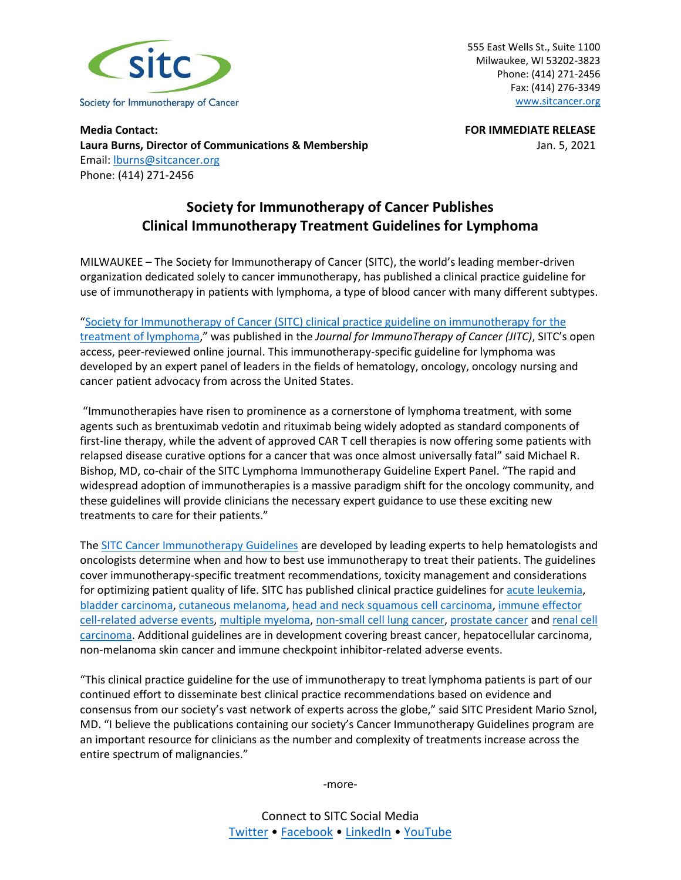

555 East Wells St., Suite 1100 Milwaukee, WI 53202-3823 Phone: (414) 271-2456 Fax: (414) 276-3349 [www.sitcancer.org](http://www.sitcancer.org/)

**Media Contact: FOR IMMEDIATE RELEASE Laura Burns, Director of Communications & Membership** Jan. 5, 2021 Email: [lburns@sitcancer.org](mailto:lburns@sitcancer.org) Phone: (414) 271-2456

## **Society for Immunotherapy of Cancer Publishes Clinical Immunotherapy Treatment Guidelines for Lymphoma**

MILWAUKEE – The Society for Immunotherapy of Cancer (SITC), the world's leading member-driven organization dedicated solely to cancer immunotherapy, has published a clinical practice guideline for use of immunotherapy in patients with lymphoma, a type of blood cancer with many different subtypes.

"Society for Immunotherapy of [Cancer \(SITC\) clinical practice guideline on immunotherapy for the](http://dx.doi.org/10.1136/jitc-2020-001235)  [treatment of lymphoma,](http://dx.doi.org/10.1136/jitc-2020-001235)" was published in the *Journal for ImmunoTherapy of Cancer (JITC)*, SITC's open access, peer-reviewed online journal. This immunotherapy-specific guideline for lymphoma was developed by an expert panel of leaders in the fields of hematology, oncology, oncology nursing and cancer patient advocacy from across the United States.

"Immunotherapies have risen to prominence as a cornerstone of lymphoma treatment, with some agents such as brentuximab vedotin and rituximab being widely adopted as standard components of first-line therapy, while the advent of approved CAR T cell therapies is now offering some patients with relapsed disease curative options for a cancer that was once almost universally fatal" said Michael R. Bishop, MD, co-chair of the SITC Lymphoma Immunotherapy Guideline Expert Panel. "The rapid and widespread adoption of immunotherapies is a massive paradigm shift for the oncology community, and these guidelines will provide clinicians the necessary expert guidance to use these exciting new treatments to care for their patients."

The [SITC Cancer Immunotherapy Guidelines](http://www.sitcancer.org/research/cancer-immunotherapy-guidelines) are developed by leading experts to help hematologists and oncologists determine when and how to best use immunotherapy to treat their patients. The guidelines cover immunotherapy-specific treatment recommendations, toxicity management and considerations for optimizing patient quality of life. SITC has published clinical practice guidelines fo[r acute leukemia,](http://dx.doi.org/10.1136/jitc-2020-000810) [bladder carcinoma,](https://doi.org/10.1186/s40425-017-0271-0) [cutaneous melanoma,](https://www.sitcancer.org/research/cancer-immunotherapy-guidelines/melanoma/current-algorithms) [head and neck squamous cell carcinoma,](https://doi.org/10.1186/s40425-019-0662-5) [immune effector](http://dx.doi.org/10.1136/jitc-2020-001511)  [cell-related adverse events,](http://dx.doi.org/10.1136/jitc-2020-001511) [multiple myeloma,](http://dx.doi.org/10.1136/jitc-2020-000734) [non-small cell lung cancer,](https://doi.org/10.1186/s40425-018-0382-2) [prostate cancer](https://doi.org/10.1186/s40425-016-0198-x) an[d renal cell](https://doi.org/10.1186/s40425-019-0813-8)  [carcinoma.](https://doi.org/10.1186/s40425-019-0813-8) Additional guidelines are in development covering breast cancer, hepatocellular carcinoma, non-melanoma skin cancer and immune checkpoint inhibitor-related adverse events.

"This clinical practice guideline for the use of immunotherapy to treat lymphoma patients is part of our continued effort to disseminate best clinical practice recommendations based on evidence and consensus from our society's vast network of experts across the globe," said SITC President Mario Sznol, MD. "I believe the publications containing our society's Cancer Immunotherapy Guidelines program are an important resource for clinicians as the number and complexity of treatments increase across the entire spectrum of malignancies."

-more-